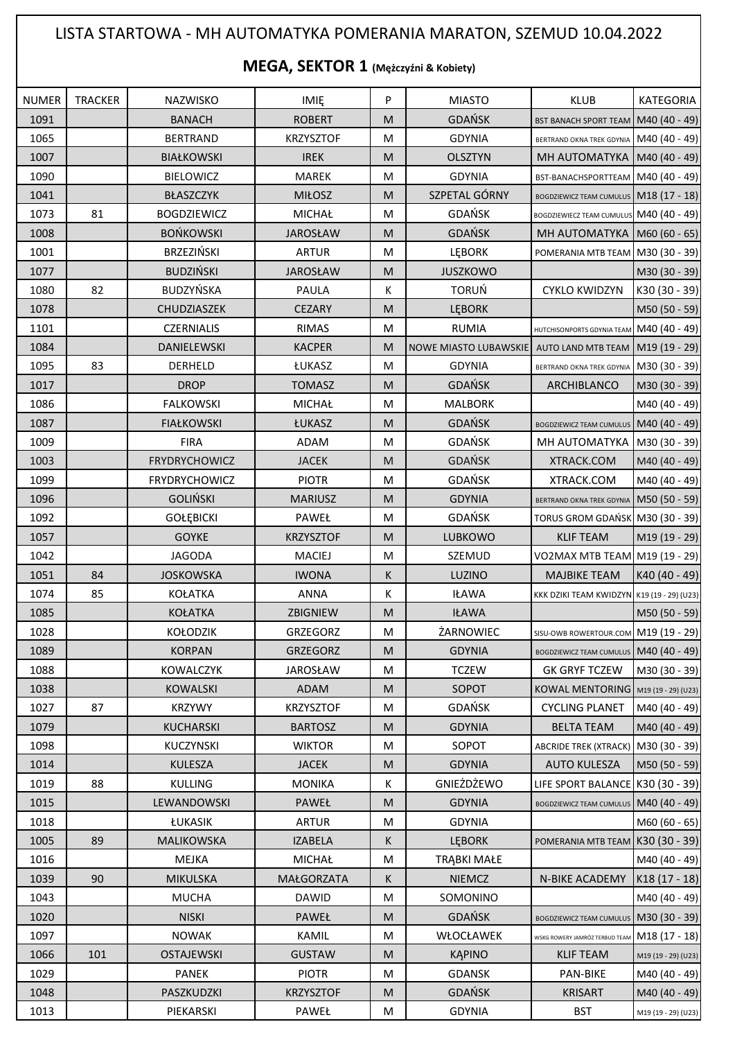## LISTA STARTOWA - MH AUTOMATYKA POMERANIA MARATON, SZEMUD 10.04.2022

## **MEGA, SEKTOR 1 (Mężczyźni & Kobiety)**

| <b>NUMER</b> | <b>TRACKER</b> | NAZWISKO             | IMIĘ             | P | <b>MIASTO</b>         | <b>KLUB</b>                                | KATEGORIA           |
|--------------|----------------|----------------------|------------------|---|-----------------------|--------------------------------------------|---------------------|
| 1091         |                | <b>BANACH</b>        | <b>ROBERT</b>    | M | <b>GDAŃSK</b>         | BST BANACH SPORT TEAM M40 (40 - 49)        |                     |
| 1065         |                | <b>BERTRAND</b>      | <b>KRZYSZTOF</b> | M | <b>GDYNIA</b>         | BERTRAND OKNA TREK GDYNIA M40 (40 - 49)    |                     |
| 1007         |                | <b>BIAŁKOWSKI</b>    | <b>IREK</b>      | M | <b>OLSZTYN</b>        | MH AUTOMATYKA M40 (40 - 49)                |                     |
| 1090         |                | <b>BIELOWICZ</b>     | <b>MAREK</b>     | M | <b>GDYNIA</b>         | BST-BANACHSPORTTEAM M40 (40 - 49)          |                     |
| 1041         |                | <b>BŁASZCZYK</b>     | <b>MIŁOSZ</b>    | M | SZPETAL GÓRNY         | BOGDZIEWICZ TEAM CUMULUS M18 (17 - 18)     |                     |
| 1073         | 81             | <b>BOGDZIEWICZ</b>   | <b>MICHAŁ</b>    | M | <b>GDAŃSK</b>         | BOGDZIEWIECZ TEAM CUMULUS M40 (40 - 49)    |                     |
| 1008         |                | <b>BOŃKOWSKI</b>     | <b>JAROSŁAW</b>  | M | <b>GDAŃSK</b>         | MH AUTOMATYKA   M60 (60 - 65)              |                     |
| 1001         |                | <b>BRZEZIŃSKI</b>    | <b>ARTUR</b>     | M | <b>LEBORK</b>         | POMERANIA MTB TEAM M30 (30 - 39)           |                     |
| 1077         |                | <b>BUDZIŃSKI</b>     | <b>JAROSŁAW</b>  | M | <b>JUSZKOWO</b>       |                                            | M30 (30 - 39)       |
| 1080         | 82             | BUDZYŃSKA            | <b>PAULA</b>     | К | <b>TORUŃ</b>          | <b>CYKLO KWIDZYN</b>                       | K30 (30 - 39)       |
| 1078         |                | <b>CHUDZIASZEK</b>   | <b>CEZARY</b>    | M | <b>LEBORK</b>         |                                            | M50 (50 - 59)       |
| 1101         |                | <b>CZERNIALIS</b>    | <b>RIMAS</b>     | M | <b>RUMIA</b>          | HUTCHISONPORTS GDYNIA TEAM M40 (40 - 49)   |                     |
| 1084         |                | DANIELEWSKI          | <b>KACPER</b>    | M | NOWE MIASTO LUBAWSKIE | AUTO LAND MTB TEAM M19 (19 - 29)           |                     |
| 1095         | 83             | <b>DERHELD</b>       | ŁUKASZ           | M | <b>GDYNIA</b>         | BERTRAND OKNA TREK GDYNIA M30 (30 - 39)    |                     |
| 1017         |                | <b>DROP</b>          | <b>TOMASZ</b>    | M | <b>GDAŃSK</b>         | ARCHIBLANCO                                | M30 (30 - 39)       |
| 1086         |                | <b>FALKOWSKI</b>     | MICHAŁ           | M | <b>MALBORK</b>        |                                            | M40 (40 - 49)       |
| 1087         |                | <b>FIAŁKOWSKI</b>    | ŁUKASZ           | M | <b>GDAŃSK</b>         | BOGDZIEWICZ TEAM CUMULUS M40 (40 - 49)     |                     |
| 1009         |                | <b>FIRA</b>          | ADAM             | M | GDAŃSK                | MH AUTOMATYKA   M30 (30 - 39)              |                     |
| 1003         |                | <b>FRYDRYCHOWICZ</b> | <b>JACEK</b>     | M | GDAŃSK                | XTRACK.COM                                 | M40 (40 - 49)       |
| 1099         |                | <b>FRYDRYCHOWICZ</b> | <b>PIOTR</b>     | M | GDAŃSK                | XTRACK.COM                                 | M40 (40 - 49)       |
| 1096         |                | <b>GOLIŃSKI</b>      | <b>MARIUSZ</b>   | M | <b>GDYNIA</b>         | BERTRAND OKNA TREK GDYNIA   M50 (50 - 59)  |                     |
| 1092         |                | <b>GOŁĘBICKI</b>     | PAWEŁ            | M | GDAŃSK                | TORUS GROM GDAŃSK M30 (30 - 39)            |                     |
| 1057         |                | <b>GOYKE</b>         | <b>KRZYSZTOF</b> | M | LUBKOWO               | <b>KLIF TEAM</b>                           | M19 (19 - 29)       |
| 1042         |                | <b>JAGODA</b>        | <b>MACIEJ</b>    | M | SZEMUD                | VO2MAX MTB TEAM M19 (19 - 29)              |                     |
| 1051         | 84             | <b>JOSKOWSKA</b>     | <b>IWONA</b>     | K | LUZINO                | <b>MAJBIKE TEAM</b>                        | K40 (40 - 49)       |
| 1074         | 85             | <b>KOŁATKA</b>       | <b>ANNA</b>      | К | <b>IŁAWA</b>          | KKK DZIKI TEAM KWIDZYN K19 (19 - 29) (U23) |                     |
| 1085         |                | <b>KOŁATKA</b>       | ZBIGNIEW         | M | <b>IŁAWA</b>          |                                            | M50 (50 - 59)       |
| 1028         |                | <b>KOŁODZIK</b>      | GRZEGORZ         | M | ŻARNOWIEC             | SISU-OWB ROWERTOUR.COM M19 (19 - 29)       |                     |
| 1089         |                | <b>KORPAN</b>        | GRZEGORZ         | M | <b>GDYNIA</b>         | BOGDZIEWICZ TEAM CUMULUS M40 (40 - 49)     |                     |
| 1088         |                | <b>KOWALCZYK</b>     | <b>JAROSŁAW</b>  | M | <b>TCZEW</b>          | <b>GK GRYF TCZEW</b>                       | M30 (30 - 39)       |
| 1038         |                | <b>KOWALSKI</b>      | ADAM             | M | SOPOT                 | KOWAL MENTORING M19 (19 - 29) (U23)        |                     |
| 1027         | 87             | <b>KRZYWY</b>        | <b>KRZYSZTOF</b> | M | <b>GDAŃSK</b>         | <b>CYCLING PLANET</b>                      | M40 (40 - 49)       |
| 1079         |                | KUCHARSKI            | <b>BARTOSZ</b>   | M | <b>GDYNIA</b>         | <b>BELTA TEAM</b>                          | M40 (40 - 49)       |
| 1098         |                | <b>KUCZYNSKI</b>     | <b>WIKTOR</b>    | M | SOPOT                 | ABCRIDE TREK (XTRACK) M30 (30 - 39)        |                     |
| 1014         |                | <b>KULESZA</b>       | <b>JACEK</b>     | M | <b>GDYNIA</b>         | <b>AUTO KULESZA</b>                        | M50 (50 - 59)       |
| 1019         | 88             | <b>KULLING</b>       | <b>MONIKA</b>    | K | GNIEŻDŻEWO            | LIFE SPORT BALANCE K30 (30 - 39)           |                     |
| 1015         |                | LEWANDOWSKI          | PAWEŁ            | M | <b>GDYNIA</b>         | BOGDZIEWICZ TEAM CUMULUS M40 (40 - 49)     |                     |
| 1018         |                | ŁUKASIK              | <b>ARTUR</b>     | M | <b>GDYNIA</b>         |                                            | M60 (60 - 65)       |
| 1005         | 89             | MALIKOWSKA           | <b>IZABELA</b>   | K | <b>LEBORK</b>         | POMERANIA MTB TEAM K30 (30 - 39)           |                     |
| 1016         |                | MEJKA                | <b>MICHAŁ</b>    | M | <b>TRĄBKI MAŁE</b>    |                                            | M40 (40 - 49)       |
| 1039         | 90             | <b>MIKULSKA</b>      | MAŁGORZATA       | K | <b>NIEMCZ</b>         | N-BIKE ACADEMY                             | K18 (17 - 18)       |
| 1043         |                | <b>MUCHA</b>         | <b>DAWID</b>     | M | SOMONINO              |                                            | M40 (40 - 49)       |
| 1020         |                | <b>NISKI</b>         | <b>PAWEŁ</b>     | M | GDAŃSK                | <b>BOGDZIEWICZ TEAM CUMULUS</b>            | M30 (30 - 39)       |
| 1097         |                | <b>NOWAK</b>         | KAMIL            | М | WŁOCŁAWEK             | WSKG ROWERY JAMRÓZ TERBUD TEAM             | M18 (17 - 18)       |
| 1066         | 101            | <b>OSTAJEWSKI</b>    | <b>GUSTAW</b>    | M | <b>KAPINO</b>         | <b>KLIF TEAM</b>                           | M19 (19 - 29) (U23) |
| 1029         |                | <b>PANEK</b>         | <b>PIOTR</b>     | M | <b>GDANSK</b>         | <b>PAN-BIKE</b>                            | M40 (40 - 49)       |
| 1048         |                | PASZKUDZKI           | <b>KRZYSZTOF</b> | M | <b>GDAŃSK</b>         | <b>KRISART</b>                             | M40 (40 - 49)       |
| 1013         |                | PIEKARSKI            | PAWEŁ            | M | <b>GDYNIA</b>         | <b>BST</b>                                 | M19 (19 - 29) (U23) |